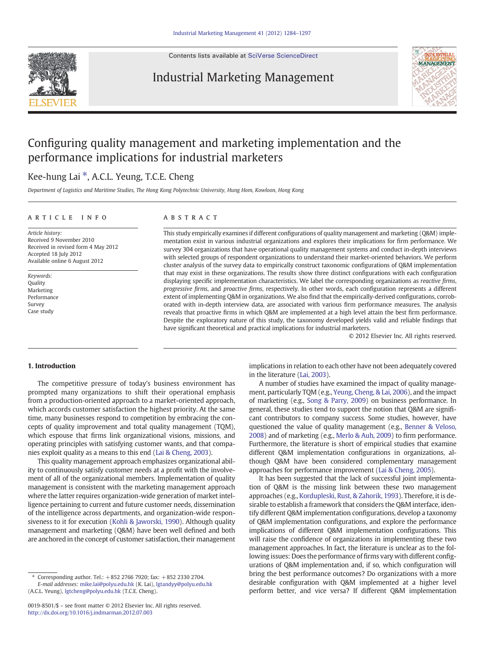Contents lists available at [SciVerse ScienceDirect](http://www.sciencedirect.com/science/journal/00198501)



# Industrial Marketing Management



# Configuring quality management and marketing implementation and the performance implications for industrial marketers

## Kee-hung Lai<sup>\*</sup>, A.C.L. Yeung, T.C.E. Cheng

Department of Logistics and Maritime Studies, The Hong Kong Polytechnic University, Hung Hom, Kowloon, Hong Kong

### article info abstract

Article history: Received 9 November 2010 Received in revised form 4 May 2012 Accepted 18 July 2012 Available online 6 August 2012

Keywords: **Quality** Marketing Performance Survey Case study

This study empirically examines if different configurations of quality management and marketing (Q&M) implementation exist in various industrial organizations and explores their implications for firm performance. We survey 304 organizations that have operational quality management systems and conduct in-depth interviews with selected groups of respondent organizations to understand their market-oriented behaviors. We perform cluster analysis of the survey data to empirically construct taxonomic configurations of Q&M implementation that may exist in these organizations. The results show three distinct configurations with each configuration displaying specific implementation characteristics. We label the corresponding organizations as reactive firms, progressive firms, and proactive firms, respectively. In other words, each configuration represents a different extent of implementing Q&M in organizations. We also find that the empirically-derived configurations, corroborated with in-depth interview data, are associated with various firm performance measures. The analysis reveals that proactive firms in which Q&M are implemented at a high level attain the best firm performance. Despite the exploratory nature of this study, the taxonomy developed yields valid and reliable findings that have significant theoretical and practical implications for industrial marketers.

© 2012 Elsevier Inc. All rights reserved.

#### 1. Introduction

The competitive pressure of today's business environment has prompted many organizations to shift their operational emphasis from a production-oriented approach to a market-oriented approach, which accords customer satisfaction the highest priority. At the same time, many businesses respond to competition by embracing the concepts of quality improvement and total quality management (TQM), which espouse that firms link organizational visions, missions, and operating principles with satisfying customer wants, and that companies exploit quality as a means to this end ([Lai & Cheng, 2003](#page--1-0)).

This quality management approach emphasizes organizational ability to continuously satisfy customer needs at a profit with the involvement of all of the organizational members. Implementation of quality management is consistent with the marketing management approach where the latter requires organization-wide generation of market intelligence pertaining to current and future customer needs, dissemination of the intelligence across departments, and organization-wide responsiveness to it for execution ([Kohli & Jaworski, 1990](#page--1-0)). Although quality management and marketing (Q&M) have been well defined and both are anchored in the concept of customer satisfaction, their management

0019-8501/\$ – see front matter © 2012 Elsevier Inc. All rights reserved. <http://dx.doi.org/10.1016/j.indmarman.2012.07.003>

implications in relation to each other have not been adequately covered in the literature [\(Lai, 2003\)](#page--1-0).

A number of studies have examined the impact of quality management, particularly TQM (e.g., [Yeung, Cheng, & Lai, 2006](#page--1-0)), and the impact of marketing (e.g., [Song & Parry, 2009\)](#page--1-0) on business performance. In general, these studies tend to support the notion that Q&M are significant contributors to company success. Some studies, however, have questioned the value of quality management (e.g., [Benner & Veloso,](#page--1-0) [2008\)](#page--1-0) and of marketing (e.g., [Merlo & Auh, 2009\)](#page--1-0) to firm performance. Furthermore, the literature is short of empirical studies that examine different Q&M implementation configurations in organizations, although Q&M have been considered complementary management approaches for performance improvement [\(Lai & Cheng, 2005\)](#page--1-0).

It has been suggested that the lack of successful joint implementation of Q&M is the missing link between these two management approaches (e.g., [Kordupleski, Rust, & Zahorik, 1993\)](#page--1-0). Therefore, it is desirable to establish a framework that considers the Q&M interface, identify different Q&M implementation configurations, develop a taxonomy of Q&M implementation configurations, and explore the performance implications of different Q&M implementation configurations. This will raise the confidence of organizations in implementing these two management approaches. In fact, the literature is unclear as to the following issues: Does the performance of firms vary with different configurations of Q&M implementation and, if so, which configuration will bring the best performance outcomes? Do organizations with a more desirable configuration with Q&M implemented at a higher level perform better, and vice versa? If different Q&M implementation

<sup>⁎</sup> Corresponding author. Tel.: +852 2766 7920; fax: +852 2330 2704. E-mail addresses: [mike.lai@polyu.edu.hk](mailto:mike.lai@polyu.edu.hk) (K. Lai), [lgtandyy@polyu.edu.hk](mailto:lgtandyy@polyu.edu.hk) (A.C.L. Yeung), [lgtcheng@polyu.edu.hk](mailto:lgtcheng@polyu.edu.hk) (T.C.E. Cheng).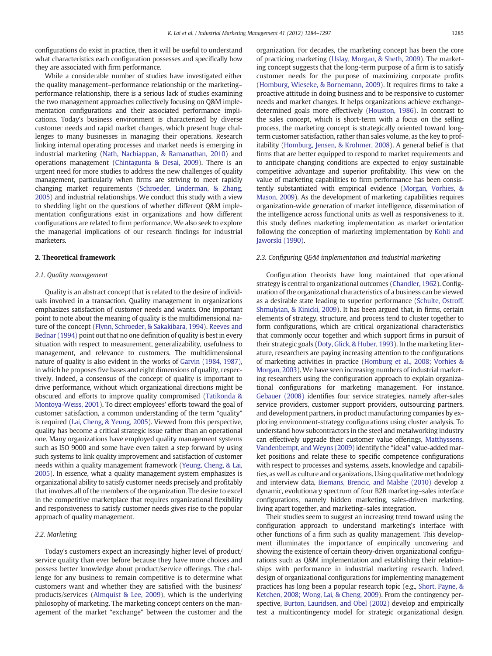configurations do exist in practice, then it will be useful to understand what characteristics each configuration possesses and specifically how they are associated with firm performance.

While a considerable number of studies have investigated either the quality management–performance relationship or the marketing– performance relationship, there is a serious lack of studies examining the two management approaches collectively focusing on Q&M implementation configurations and their associated performance implications. Today's business environment is characterized by diverse customer needs and rapid market changes, which present huge challenges to many businesses in managing their operations. Research linking internal operating processes and market needs is emerging in industrial marketing [\(Nath, Nachiappan, & Ramanathan, 2010\)](#page--1-0) and operations management [\(Chintagunta & Desai, 2009](#page--1-0)). There is an urgent need for more studies to address the new challenges of quality management, particularly when firms are striving to meet rapidly changing market requirements [\(Schroeder, Linderman, & Zhang,](#page--1-0) [2005](#page--1-0)) and industrial relationships. We conduct this study with a view to shedding light on the questions of whether different Q&M implementation configurations exist in organizations and how different configurations are related to firm performance. We also seek to explore the managerial implications of our research findings for industrial marketers.

#### 2. Theoretical framework

#### 2.1. Quality management

Quality is an abstract concept that is related to the desire of individuals involved in a transaction. Quality management in organizations emphasizes satisfaction of customer needs and wants. One important point to note about the meaning of quality is the multidimensional nature of the concept [\(Flynn, Schroeder, & Sakakibara, 1994](#page--1-0)). [Reeves and](#page--1-0) [Bednar \(1994\)](#page--1-0) point out that no one definition of quality is best in every situation with respect to measurement, generalizability, usefulness to management, and relevance to customers. The multidimensional nature of quality is also evident in the works of [Garvin \(1984, 1987\),](#page--1-0) in which he proposes five bases and eight dimensions of quality, respectively. Indeed, a consensus of the concept of quality is important to drive performance, without which organizational directions might be obscured and efforts to improve quality compromised [\(Tatikonda &](#page--1-0) [Montoya-Weiss, 2001](#page--1-0)). To direct employees' efforts toward the goal of customer satisfaction, a common understanding of the term "quality" is required ([Lai, Cheng, & Yeung, 2005](#page--1-0)). Viewed from this perspective, quality has become a critical strategic issue rather than an operational one. Many organizations have employed quality management systems such as ISO 9000 and some have even taken a step forward by using such systems to link quality improvement and satisfaction of customer needs within a quality management framework [\(Yeung, Cheng, & Lai,](#page--1-0) [2005](#page--1-0)). In essence, what a quality management system emphasizes is organizational ability to satisfy customer needs precisely and profitably that involves all of the members of the organization. The desire to excel in the competitive marketplace that requires organizational flexibility and responsiveness to satisfy customer needs gives rise to the popular approach of quality management.

#### 2.2. Marketing

Today's customers expect an increasingly higher level of product/ service quality than ever before because they have more choices and possess better knowledge about product/service offerings. The challenge for any business to remain competitive is to determine what customers want and whether they are satisfied with the business' products/services [\(Almquist & Lee, 2009](#page--1-0)), which is the underlying philosophy of marketing. The marketing concept centers on the management of the market "exchange" between the customer and the organization. For decades, the marketing concept has been the core of practicing marketing ([Uslay, Morgan, & Sheth, 2009\)](#page--1-0). The marketing concept suggests that the long-term purpose of a firm is to satisfy customer needs for the purpose of maximizing corporate profits [\(Homburg, Wieseke, & Bornemann, 2009\)](#page--1-0). It requires firms to take a proactive attitude in doing business and to be responsive to customer needs and market changes. It helps organizations achieve exchangedetermined goals more effectively ([Houston, 1986\)](#page--1-0). In contrast to the sales concept, which is short-term with a focus on the selling process, the marketing concept is strategically oriented toward longterm customer satisfaction, rather than sales volume, as the key to prof-itability ([Homburg, Jensen, & Krohmer, 2008\)](#page--1-0). A general belief is that firms that are better equipped to respond to market requirements and to anticipate changing conditions are expected to enjoy sustainable competitive advantage and superior profitability. This view on the value of marketing capabilities to firm performance has been consistently substantiated with empirical evidence [\(Morgan, Vorhies, &](#page--1-0) [Mason, 2009\)](#page--1-0). As the development of marketing capabilities requires organization-wide generation of market intelligence, dissemination of the intelligence across functional units as well as responsiveness to it, this study defines marketing implementation as market orientation following the conception of marketing implementation by [Kohli and](#page--1-0) [Jaworski \(1990\).](#page--1-0)

#### 2.3. Configuring Q&M implementation and industrial marketing

Configuration theorists have long maintained that operational strategy is central to organizational outcomes [\(Chandler, 1962\)](#page--1-0). Configuration of the organizational characteristics of a business can be viewed as a desirable state leading to superior performance ([Schulte, Ostroff,](#page--1-0) [Shmulyian, & Kinicki, 2009\)](#page--1-0). It has been argued that, in firms, certain elements of strategy, structure, and process tend to cluster together to form configurations, which are critical organizational characteristics that commonly occur together and which support firms in pursuit of their strategic goals [\(Doty, Glick, & Huber, 1993\)](#page--1-0). In the marketing literature, researchers are paying increasing attention to the configurations of marketing activities in practice [\(Homburg et al., 2008; Vorhies &](#page--1-0) [Morgan, 2003\)](#page--1-0). We have seen increasing numbers of industrial marketing researchers using the configuration approach to explain organizational configurations for marketing management. For instance, [Gebauer \(2008\)](#page--1-0) identifies four service strategies, namely after-sales service providers, customer support providers, outsourcing partners, and development partners, in product manufacturing companies by exploring environment-strategy configurations using cluster analysis. To understand how subcontractors in the steel and metalworking industry can effectively upgrade their customer value offerings, [Matthyssens,](#page--1-0) [Vandenbempt, and Weyns \(2009\)](#page--1-0) identify the "ideal" value-added market positions and relate these to specific competence configurations with respect to processes and systems, assets, knowledge and capabilities, as well as culture and organizations. Using qualitative methodology and interview data, [Biemans, Brencic, and Malshe \(2010\)](#page--1-0) develop a dynamic, evolutionary spectrum of four B2B marketing–sales interface configurations, namely hidden marketing, sales-driven marketing, living apart together, and marketing–sales integration.

Their studies seem to suggest an increasing trend toward using the configuration approach to understand marketing's interface with other functions of a firm such as quality management. This development illuminates the importance of empirically uncovering and showing the existence of certain theory-driven organizational configurations such as Q&M implementation and establishing their relationships with performance in industrial marketing research. Indeed, design of organizational configurations for implementing management practices has long been a popular research topic (e.g., [Short, Payne, &](#page--1-0) [Ketchen, 2008; Wong, Lai, & Cheng, 2009](#page--1-0)). From the contingency perspective, [Burton, Lauridsen, and Obel \(2002\)](#page--1-0) develop and empirically test a multicontingency model for strategic organizational design.